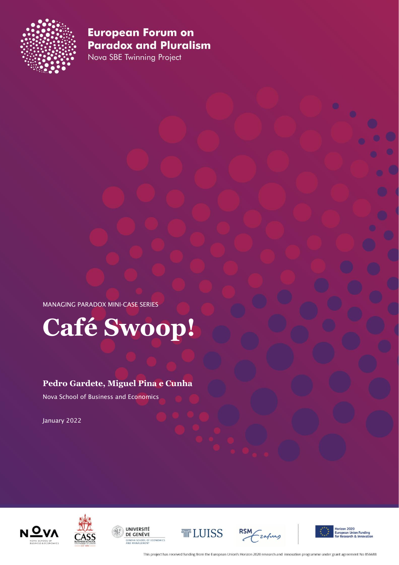

Nova SBE Twinning Project

MANAGING PARADOX MINI-CASE SERIES

# **Café Swoop!**

#### **Pedro Gardete, Miguel Pina e Cunha**

Nova School of Business and Economics

January 2022













This project has received funding from the European Union's Horizon 2020 research and innovation programme under grant agreement No 856688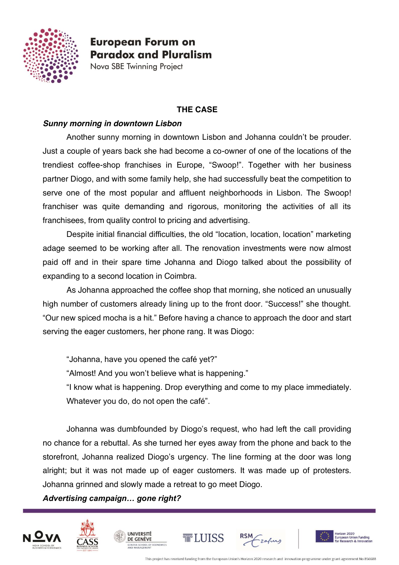

Nova SBE Twinning Project

#### **THE CASE**

#### *Sunny morning in downtown Lisbon*

Another sunny morning in downtown Lisbon and Johanna couldn't be prouder. Just a couple of years back she had become a co-owner of one of the locations of the trendiest coffee-shop franchises in Europe, "Swoop!". Together with her business partner Diogo, and with some family help, she had successfully beat the competition to serve one of the most popular and affluent neighborhoods in Lisbon. The Swoop! franchiser was quite demanding and rigorous, monitoring the activities of all its franchisees, from quality control to pricing and advertising.

Despite initial financial difficulties, the old "location, location, location" marketing adage seemed to be working after all. The renovation investments were now almost paid off and in their spare time Johanna and Diogo talked about the possibility of expanding to a second location in Coimbra.

As Johanna approached the coffee shop that morning, she noticed an unusually high number of customers already lining up to the front door. "Success!" she thought. "Our new spiced mocha is a hit." Before having a chance to approach the door and start serving the eager customers, her phone rang. It was Diogo:

"Johanna, have you opened the café yet?"

"Almost! And you won't believe what is happening."

"I know what is happening. Drop everything and come to my place immediately. Whatever you do, do not open the café".

Johanna was dumbfounded by Diogo's request, who had left the call providing no chance for a rebuttal. As she turned her eyes away from the phone and back to the storefront, Johanna realized Diogo's urgency. The line forming at the door was long alright; but it was not made up of eager customers. It was made up of protesters. Johanna grinned and slowly made a retreat to go meet Diogo.

*Advertising campaign… gone right?*

**UNIVERSITÉ** 

DE GENÈVE

**EVA SCHOOL OF ECONOMIC** 









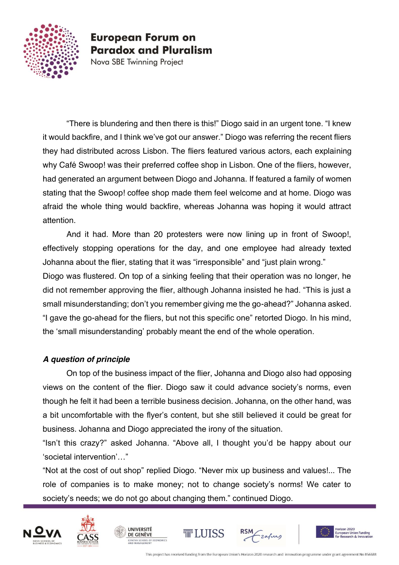

Nova SBE Twinning Project

"There is blundering and then there is this!" Diogo said in an urgent tone. "I knew it would backfire, and I think we've got our answer." Diogo was referring the recent fliers they had distributed across Lisbon. The fliers featured various actors, each explaining why Café Swoop! was their preferred coffee shop in Lisbon. One of the fliers, however, had generated an argument between Diogo and Johanna. If featured a family of women stating that the Swoop! coffee shop made them feel welcome and at home. Diogo was afraid the whole thing would backfire, whereas Johanna was hoping it would attract attention.

And it had. More than 20 protesters were now lining up in front of Swoop!, effectively stopping operations for the day, and one employee had already texted Johanna about the flier, stating that it was "irresponsible" and "just plain wrong."

Diogo was flustered. On top of a sinking feeling that their operation was no longer, he did not remember approving the flier, although Johanna insisted he had. "This is just a small misunderstanding; don't you remember giving me the go-ahead?" Johanna asked. "I gave the go-ahead for the fliers, but not this specific one" retorted Diogo. In his mind, the 'small misunderstanding' probably meant the end of the whole operation.

#### *A question of principle*

On top of the business impact of the flier, Johanna and Diogo also had opposing views on the content of the flier. Diogo saw it could advance society's norms, even though he felt it had been a terrible business decision. Johanna, on the other hand, was a bit uncomfortable with the flyer's content, but she still believed it could be great for business. Johanna and Diogo appreciated the irony of the situation.

"Isn't this crazy?" asked Johanna. "Above all, I thought you'd be happy about our 'societal intervention'…"

"Not at the cost of out shop" replied Diogo. "Never mix up business and values!... The role of companies is to make money; not to change society's norms! We cater to society's needs; we do not go about changing them." continued Diogo.





**UNIVERSITÉ** 

DE GENÈVE





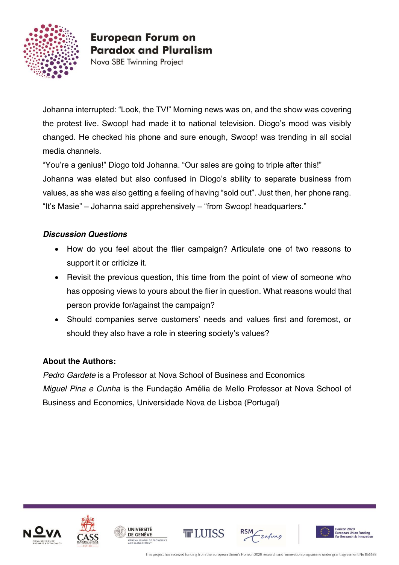

Nova SBE Twinning Project

Johanna interrupted: "Look, the TV!" Morning news was on, and the show was covering the protest live. Swoop! had made it to national television. Diogo's mood was visibly changed. He checked his phone and sure enough, Swoop! was trending in all social media channels.

"You're a genius!" Diogo told Johanna. "Our sales are going to triple after this!" Johanna was elated but also confused in Diogo's ability to separate business from values, as she was also getting a feeling of having "sold out". Just then, her phone rang. "It's Masie" – Johanna said apprehensively – "from Swoop! headquarters."

#### *Discussion Questions*

- How do you feel about the flier campaign? Articulate one of two reasons to support it or criticize it.
- Revisit the previous question, this time from the point of view of someone who has opposing views to yours about the flier in question. What reasons would that person provide for/against the campaign?
- Should companies serve customers' needs and values first and foremost, or should they also have a role in steering society's values?

#### **About the Authors:**

*Pedro Gardete* is a Professor at Nova School of Business and Economics *Miguel Pina e Cunha* is the Fundação Amélia de Mello Professor at Nova School of Business and Economics, Universidade Nova de Lisboa (Portugal)













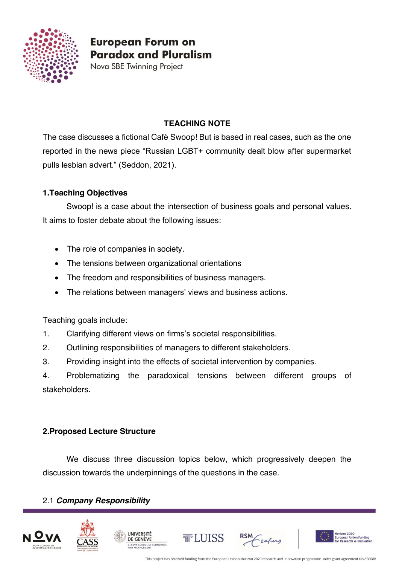

Nova SBE Twinning Project

#### **TEACHING NOTE**

The case discusses a fictional Café Swoop! But is based in real cases, such as the one reported in the news piece "Russian LGBT+ community dealt blow after supermarket pulls lesbian advert." (Seddon, 2021).

#### **1.Teaching Objectives**

Swoop! is a case about the intersection of business goals and personal values. It aims to foster debate about the following issues:

- The role of companies in society.
- The tensions between organizational orientations
- The freedom and responsibilities of business managers.
- The relations between managers' views and business actions.

Teaching goals include:

- 1. Clarifying different views on firms's societal responsibilities.
- 2. Outlining responsibilities of managers to different stakeholders.
- 3. Providing insight into the effects of societal intervention by companies.

4. Problematizing the paradoxical tensions between different groups of stakeholders.

#### **2.Proposed Lecture Structure**

We discuss three discussion topics below, which progressively deepen the discussion towards the underpinnings of the questions in the case.

#### 2.1 *Company Responsibility*

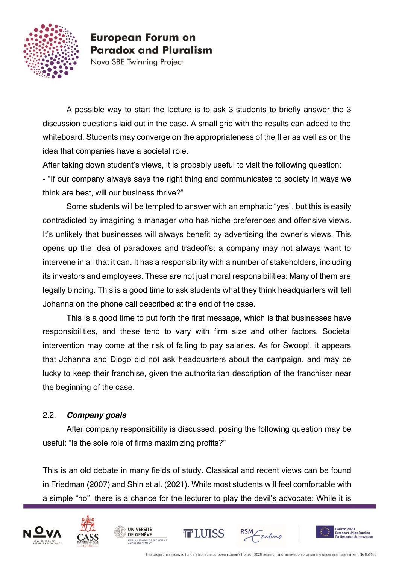

Nova SBE Twinning Project

A possible way to start the lecture is to ask 3 students to briefly answer the 3 discussion questions laid out in the case. A small grid with the results can added to the whiteboard. Students may converge on the appropriateness of the flier as well as on the idea that companies have a societal role.

After taking down student's views, it is probably useful to visit the following question: - "If our company always says the right thing and communicates to society in ways we think are best, will our business thrive?"

Some students will be tempted to answer with an emphatic "yes", but this is easily contradicted by imagining a manager who has niche preferences and offensive views. It's unlikely that businesses will always benefit by advertising the owner's views. This opens up the idea of paradoxes and tradeoffs: a company may not always want to intervene in all that it can. It has a responsibility with a number of stakeholders, including its investors and employees. These are not just moral responsibilities: Many of them are legally binding. This is a good time to ask students what they think headquarters will tell Johanna on the phone call described at the end of the case.

This is a good time to put forth the first message, which is that businesses have responsibilities, and these tend to vary with firm size and other factors. Societal intervention may come at the risk of failing to pay salaries. As for Swoop!, it appears that Johanna and Diogo did not ask headquarters about the campaign, and may be lucky to keep their franchise, given the authoritarian description of the franchiser near the beginning of the case.

#### 2.2. *Company goals*

After company responsibility is discussed, posing the following question may be useful: "Is the sole role of firms maximizing profits?"

This is an old debate in many fields of study. Classical and recent views can be found in Friedman (2007) and Shin et al. (2021). While most students will feel comfortable with a simple "no", there is a chance for the lecturer to play the devil's advocate: While it is











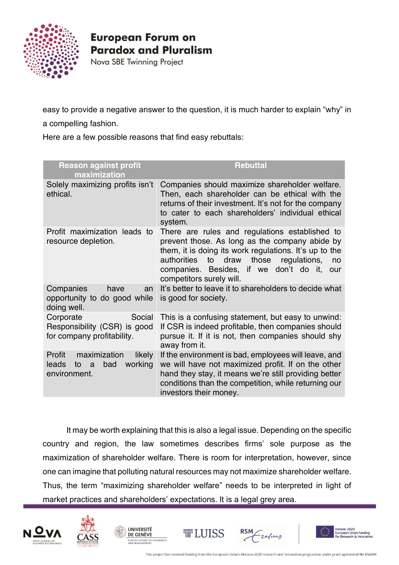

Nova SBE Twinning Project

easy to provide a negative answer to the question, it is much harder to explain "why" in a compelling fashion.

Here are a few possible reasons that find easy rebuttals:

| <b>Reason against profit</b><br>maximization                                           | <b>Rebuttal</b>                                                                                                                                                                                                                                                                                     |
|----------------------------------------------------------------------------------------|-----------------------------------------------------------------------------------------------------------------------------------------------------------------------------------------------------------------------------------------------------------------------------------------------------|
| Solely maximizing profits isn't<br>ethical.                                            | Companies should maximize shareholder welfare.<br>Then, each shareholder can be ethical with the<br>returns of their investment. It's not for the company<br>to cater to each shareholders' individual ethical<br>system.                                                                           |
| Profit maximization leads to<br>resource depletion.                                    | There are rules and regulations established to<br>prevent those. As long as the company abide by<br>them, it is doing its work regulations. It's up to the<br>authorities<br>those<br>to<br>draw<br>regulations,<br>no<br>companies. Besides, if we don't do it,<br>our<br>competitors surely will. |
| Companies<br>have<br>an<br>opportunity to do good while<br>doing well.                 | It's better to leave it to shareholders to decide what<br>is good for society.                                                                                                                                                                                                                      |
| Corporate<br>Social<br>Responsibility (CSR) is good<br>for company profitability.      | This is a confusing statement, but easy to unwind:<br>If CSR is indeed profitable, then companies should<br>pursue it. If it is not, then companies should shy<br>away from it.                                                                                                                     |
| maximization<br>likely<br>Profit<br>leads<br>bad<br>working<br>to<br>a<br>environment. | If the environment is bad, employees will leave, and<br>we will have not maximized profit. If on the other<br>hand they stay, it means we're still providing better<br>conditions than the competition, while returning our<br>investors their money.                                               |

It may be worth explaining that this is also a legal issue. Depending on the specific country and region, the law sometimes describes firms' sole purpose as the maximization of shareholder welfare. There is room for interpretation, however, since one can imagine that polluting natural resources may not maximize shareholder welfare. Thus, the term "maximizing shareholder welfare" needs to be interpreted in light of market practices and shareholders' expectations. It is a legal grey area.





UNIVERSITÉ

DE GENÈVE





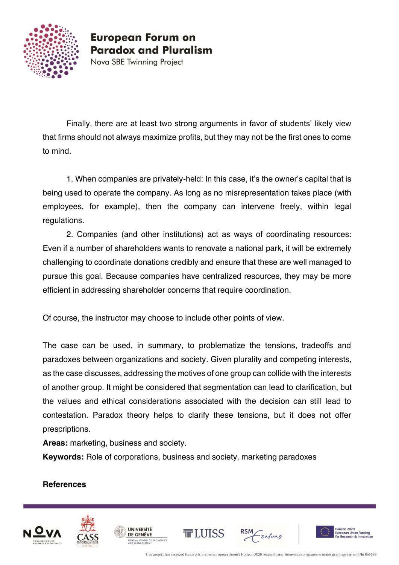

Nova SBE Twinning Project

Finally, there are at least two strong arguments in favor of students' likely view that firms should not always maximize profits, but they may not be the first ones to come to mind.

1. When companies are privately-held: In this case, it's the owner's capital that is being used to operate the company. As long as no misrepresentation takes place (with employees, for example), then the company can intervene freely, within legal regulations.

2. Companies (and other institutions) act as ways of coordinating resources: Even if a number of shareholders wants to renovate a national park, it will be extremely challenging to coordinate donations credibly and ensure that these are well managed to pursue this goal. Because companies have centralized resources, they may be more efficient in addressing shareholder concerns that require coordination.

Of course, the instructor may choose to include other points of view.

The case can be used, in summary, to problematize the tensions, tradeoffs and paradoxes between organizations and society. Given plurality and competing interests, as the case discusses, addressing the motives of one group can collide with the interests of another group. It might be considered that segmentation can lead to clarification, but the values and ethical considerations associated with the decision can still lead to contestation. Paradox theory helps to clarify these tensions, but it does not offer prescriptions.

**Areas:** marketing, business and society.

**Keywords:** Role of corporations, business and society, marketing paradoxes

#### **References**